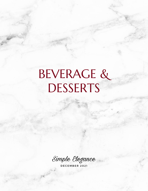# BEVERAGE & DESSERTS

Simple Elegance

D E C E M B E R 2 0 2 1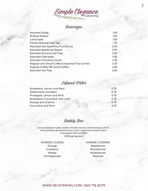Simple Elegance

## Beverages

| <b>Assorted Sodas</b>                         | 1.65 |
|-----------------------------------------------|------|
| <b>Bottled Waters</b>                         | 1.65 |
| Lemonade                                      | 1.65 |
| Freshly Brewed Iced Tea                       | 1.75 |
| <b>Assorted Izze Sparkling Fruit Juices</b>   | 2.50 |
| <b>Assorted Sparkling Waters</b>              | 2.50 |
| <b>Assorted Arizona Iced Teas</b>             | 2.95 |
| <b>Assorted Gatorades</b>                     | 2.95 |
| <b>Assorted Individual Juices</b>             | 2.95 |
| Regular and Decaf Coffee & Assorted Tea Combo | 3.25 |
| Regular Coffee OR Decaf Coffee                | 2.65 |
| <b>Assorted Hot Teas</b>                      | 2.65 |

#### Infused Water

| Strawberry, Lemon and Basil    | O 75 |
|--------------------------------|------|
| Watermelon and Basil           | 0.75 |
| Pineapple, Lemon and Mint      | 0.75 |
| Strawberry, Cucumber, and Lime | 0.75 |
| Orange and Cilantro            | 0.75 |
| Cucumber and Mint              | O 75 |

### Bubbly Bar

Juices displayed in glass carafes. Includes stainless steel beverage tubs for chilling bubbly (provided by you), acrylic cups and decorative labels. Champagne flutes available. 3.95 per person

CHOOSE 2 JUICES: Orange Cranberry Mango Pomegranate

#### CHOOSE 2 ADDINS: Raspberries Blackberries **Strawberries** Peaches